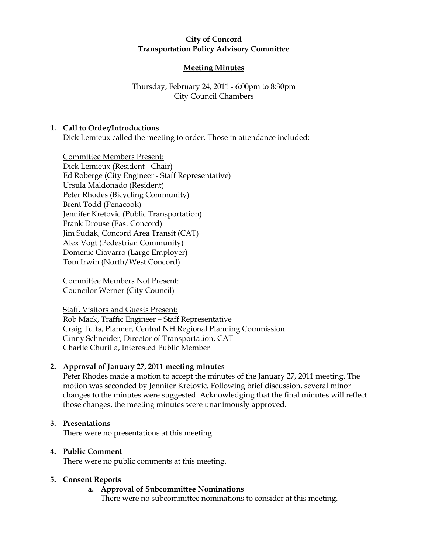#### **City of Concord Transportation Policy Advisory Committee**

# **Meeting Minutes**

## Thursday, February 24, 2011 - 6:00pm to 8:30pm City Council Chambers

### **1. Call to Order/Introductions**

Dick Lemieux called the meeting to order. Those in attendance included:

Committee Members Present: Dick Lemieux (Resident - Chair) Ed Roberge (City Engineer - Staff Representative) Ursula Maldonado (Resident) Peter Rhodes (Bicycling Community) Brent Todd (Penacook) Jennifer Kretovic (Public Transportation) Frank Drouse (East Concord) Jim Sudak, Concord Area Transit (CAT) Alex Vogt (Pedestrian Community) Domenic Ciavarro (Large Employer) Tom Irwin (North/West Concord)

Committee Members Not Present: Councilor Werner (City Council)

Staff, Visitors and Guests Present: Rob Mack, Traffic Engineer – Staff Representative Craig Tufts, Planner, Central NH Regional Planning Commission Ginny Schneider, Director of Transportation, CAT Charlie Churilla, Interested Public Member

### **2. Approval of January 27, 2011 meeting minutes**

Peter Rhodes made a motion to accept the minutes of the January 27, 2011 meeting. The motion was seconded by Jennifer Kretovic. Following brief discussion, several minor changes to the minutes were suggested. Acknowledging that the final minutes will reflect those changes, the meeting minutes were unanimously approved.

### **3. Presentations**

There were no presentations at this meeting.

### **4. Public Comment**

There were no public comments at this meeting.

### **5. Consent Reports**

# **a. Approval of Subcommittee Nominations**

There were no subcommittee nominations to consider at this meeting.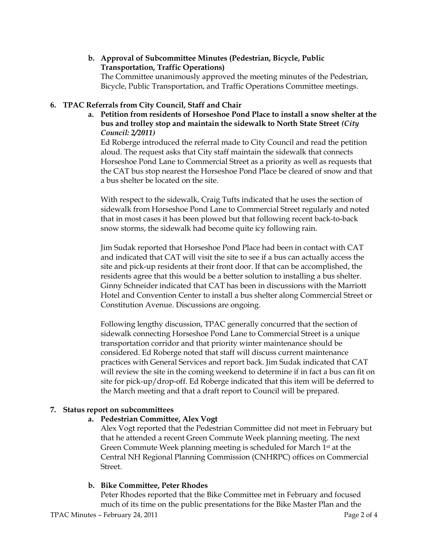#### **b. Approval of Subcommittee Minutes (Pedestrian, Bicycle, Public Transportation, Traffic Operations)**  The Committee unanimously approved the meeting minutes of the Pedestrian,

Bicycle, Public Transportation, and Traffic Operations Committee meetings.

## **6. TPAC Referrals from City Council, Staff and Chair**

**a. Petition from residents of Horseshoe Pond Place to install a snow shelter at the bus and trolley stop and maintain the sidewalk to North State Street** *(City Council: 2/2011)*

Ed Roberge introduced the referral made to City Council and read the petition aloud. The request asks that City staff maintain the sidewalk that connects Horseshoe Pond Lane to Commercial Street as a priority as well as requests that the CAT bus stop nearest the Horseshoe Pond Place be cleared of snow and that a bus shelter be located on the site.

With respect to the sidewalk, Craig Tufts indicated that he uses the section of sidewalk from Horseshoe Pond Lane to Commercial Street regularly and noted that in most cases it has been plowed but that following recent back-to-back snow storms, the sidewalk had become quite icy following rain.

Jim Sudak reported that Horseshoe Pond Place had been in contact with CAT and indicated that CAT will visit the site to see if a bus can actually access the site and pick-up residents at their front door. If that can be accomplished, the residents agree that this would be a better solution to installing a bus shelter. Ginny Schneider indicated that CAT has been in discussions with the Marriott Hotel and Convention Center to install a bus shelter along Commercial Street or Constitution Avenue. Discussions are ongoing.

Following lengthy discussion, TPAC generally concurred that the section of sidewalk connecting Horseshoe Pond Lane to Commercial Street is a unique transportation corridor and that priority winter maintenance should be considered. Ed Roberge noted that staff will discuss current maintenance practices with General Services and report back. Jim Sudak indicated that CAT will review the site in the coming weekend to determine if in fact a bus can fit on site for pick-up/drop-off. Ed Roberge indicated that this item will be deferred to the March meeting and that a draft report to Council will be prepared.

# **7. Status report on subcommittees**

# **a. Pedestrian Committee, Alex Vogt**

Alex Vogt reported that the Pedestrian Committee did not meet in February but that he attended a recent Green Commute Week planning meeting. The next Green Commute Week planning meeting is scheduled for March 1st at the Central NH Regional Planning Commission (CNHRPC) offices on Commercial Street.

### **b. Bike Committee, Peter Rhodes**

Peter Rhodes reported that the Bike Committee met in February and focused much of its time on the public presentations for the Bike Master Plan and the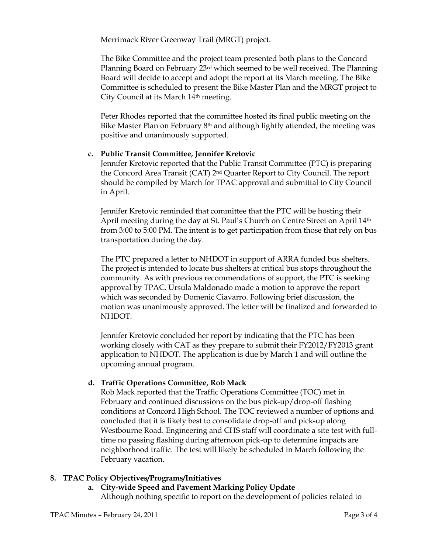Merrimack River Greenway Trail (MRGT) project.

The Bike Committee and the project team presented both plans to the Concord Planning Board on February 23rd which seemed to be well received. The Planning Board will decide to accept and adopt the report at its March meeting. The Bike Committee is scheduled to present the Bike Master Plan and the MRGT project to City Council at its March 14th meeting.

Peter Rhodes reported that the committee hosted its final public meeting on the Bike Master Plan on February 8th and although lightly attended, the meeting was positive and unanimously supported.

## **c. Public Transit Committee, Jennifer Kretovic**

Jennifer Kretovic reported that the Public Transit Committee (PTC) is preparing the Concord Area Transit (CAT) 2nd Quarter Report to City Council. The report should be compiled by March for TPAC approval and submittal to City Council in April.

Jennifer Kretovic reminded that committee that the PTC will be hosting their April meeting during the day at St. Paul's Church on Centre Street on April 14th from 3:00 to 5:00 PM. The intent is to get participation from those that rely on bus transportation during the day.

The PTC prepared a letter to NHDOT in support of ARRA funded bus shelters. The project is intended to locate bus shelters at critical bus stops throughout the community. As with previous recommendations of support, the PTC is seeking approval by TPAC. Ursula Maldonado made a motion to approve the report which was seconded by Domenic Ciavarro. Following brief discussion, the motion was unanimously approved. The letter will be finalized and forwarded to NHDOT.

Jennifer Kretovic concluded her report by indicating that the PTC has been working closely with CAT as they prepare to submit their FY2012/FY2013 grant application to NHDOT. The application is due by March 1 and will outline the upcoming annual program.

### **d. Traffic Operations Committee, Rob Mack**

Rob Mack reported that the Traffic Operations Committee (TOC) met in February and continued discussions on the bus pick-up/drop-off flashing conditions at Concord High School. The TOC reviewed a number of options and concluded that it is likely best to consolidate drop-off and pick-up along Westbourne Road. Engineering and CHS staff will coordinate a site test with fulltime no passing flashing during afternoon pick-up to determine impacts are neighborhood traffic. The test will likely be scheduled in March following the February vacation.

### **8. TPAC Policy Objectives/Programs/Initiatives**

#### **a. City-wide Speed and Pavement Marking Policy Update** Although nothing specific to report on the development of policies related to